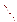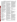Commission Issuance Posting System (CIPS). CIPS and GPD are part of the Commission's electronic bulletin board service providing access to documents issued by or available electronically from the Commission. CIPS and GPD are available at no charge to the user and may be accessed using a personal computer with a modem by dialing (202) 208–1397, if local, or 1–800–856– 3920, if long distance.

In addition to this notice, the most current list of those that signed up for participation in the working groups will also be posted on CIPS. Information concerning working group meetings will be posted on CIPS on a regular basis. Up-to-date information can be found in bulletin 20 on CIPS or bulletin 9 on GPD. A summary of the meeting held on December 12, 1995, can be found on GPD under the Working Group section of the menu in the Comments subsection.

To access the Commission's bulletin board system, set your communications software to 19200, 14400, 12000, 9600, 7200, 4800, 2400, 1200, or 300 bps, full duplex, no parity, 8 data bits, and 1 stop bit. The full text of this document will be available on CIPS for 60 days from the date of issuance in ASCII and WordPerfect 5.1 format.

The Commission's bulletin board system can also be accessed through the FedWorld system directly by modem or through the Internet.

By modem:

Dial (703) 321–3339 and logon to the FedWorld system. After logging on, type:

/go FERC

Through the Internet: Telnet to: fedworld. gov Select the option: [1] FedWorld Logon to the FedWorld system Type: /go FERC Or: Point your Web Browser to: http://

www.fedworld.gov

Scroll down the page to select FedWorld Telnet Site

Select the option: [1] FedWorld Logon to the FedWorld system Type: /go FERC

**Linwood A. Watson, Jr.,**

**Review and Comment**

*Acting Secretary.*

[FR Doc. 96–2421 Filed 2–5–96; 8:45 am] **BILLING CODE 6717–01–M**

# **Proposed Rate Adjustment, Public Hearing, and Opportunities for Public**

**AGENCY:** Southeastern Power Administration (Southeastern), Department of Energy.

**ACTION:** Notice of proposed rate extension, public hearing, and opportunities for public review and comment.

**SUMMARY:** Southeastern proposes to extend Rate Schedules KP–1–D, JHK–2– B, JHK–3–B, and PH–1–B, currently applicable to Kerr-Philpott Projects' power, October 1, 1996, through September 30, 2001. Opportunities will be available for interested persons to review the present rates, the proposed rates and supporting studies, to participate in a hearing and to submit written comments.

Southeastern will evaluate all comments received in this process.

**DATES:** Written comments are due on or before May 16, 1996. A public Information and public comment forum will be held in Raleigh, North Carolina, on March 14, 1996. Persons desiring to speak at the forum should notify Southeastern at least 7 days before the forum is scheduled so that a list of forum participants can be prepared. Others present may speak, if time permits. Persons desiring to attend the forum should notify Southeastern at least 7 days before the forum is scheduled. If Southeastern has not been notified by close of business on March 7, 1996, that at least one person intends to be present at the forum, the forum will be cancelled with no further notice. **ADDRESSES:** Five copies of written comments should be submitted to: Administrator, Southeastern Power Administration, Department of Energy, Samuel Elbert Building, 2 South Public Square, Elberton, Georgia 30635. The public comment forum will begin at 10 a.m. on March 14, 1996, in the Sheraton Inn Raleigh at Crabtree Valley, 4501 Creedmoor Road, Raleigh, North Carolina 27612.

**FOR FURTHER INFORMATION CONTACT:** Leon Jourolmon, Assistant Administrator, Finance & Marketing, Southeastern Power Administration, Department of Energy, Samuel Elbert Building, 2 South Public Square, Elberton, Georgia 30635, (706) 213– 3800.

**SUPPLEMENTARY INFORMATION:** The Federal Power Commission by order issued December 5, 1991, in Docket No. EF91–3041–000, confirmed and approved Wholesale Power Rate Schedules KP–1–D, JHK–2–B, JHK–3–B, and PH–1–B applicable to Kerr-Philpott Projects' power for a period ending September 30, 1996.

### **Discussion**

Existing rate schedules are predicated upon a June 1991 repayment study and

other supporting data all of which are contained in EF91–3041–000. A January 1996 repayment study prepared using present rates demonstrates that all costs are paid within their repayment life. Therefore, Southeastern is proposing to extend the four present rate schedules. The demand charge applicable to preference customers remains at the \$1.86 per kilowatt of monthly demand and the energy charge remains at 7.67 mills per kilowatt-hour.

The referenced January 1996 system repayment study along with previous system repayment studies are available for examination at the Samuel Elbert Building, 2 South Public Square, Elberton, Georgia 30635. Proposed Rate Schedules KP–1–D, JHK–2–B, JHK–3–B, and PH–1–B are also available.

Issued at Elberton, Georgia, January 25, 1996.

**Charles A. Borchardt,**

*Administrator.*

[FR Doc. 96–2525 Filed 2–5–96; 8:45 am] **BILLING CODE 6450–01–P**

### **ENVIRONMENTAL PROTECTION AGENCY**

**[FRL–5417–7]**

### **Agency Information Collection Activities Under OMB Review; Used Oil Management Standards Recordkeeping and Reporting Requirements**

**AGENCY:** Environmental Protection Agency (EPA).

**ACTION:** Notice.

**SUMMARY:** In compliance with the Paperwork Reduction Act (44 U.S.C. 3501 *et seq.*), this notice announces that the following Information Collection Request (ICR) has been forwarded to the Office of Management and Budget (OMB) for review and approval: Used Oil Management Standards Recordkeeping and Reporting Requirements, ICR No. 128604, OMB No. 2050–0124, expires 3/31/99. The ICR describes the nature of the information collection and its expected burden and cost; where appropriate, it includes the actual data collection instrument.

**DATES:** Comments must be submitted on or before [Insert date 30 days after publication in the **Federal Register**].

## **FOR FURTHER INFORMATION OR A COPY CALL:**

Sandy Farmer at EPA, (202) 260–2740, and refer to EPA ICR No. 1286.04.